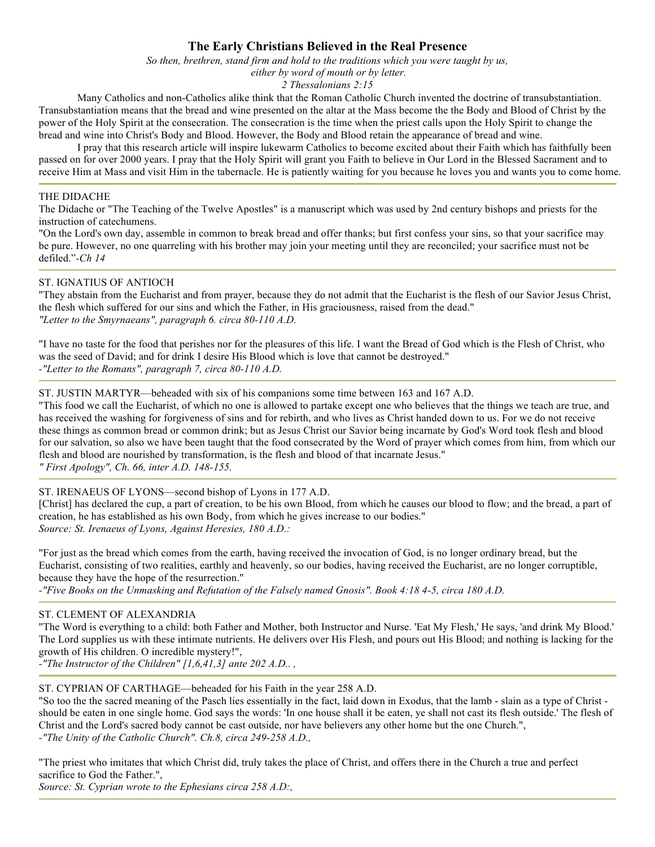# **The Early Christians Believed in the Real Presence**

*So then, brethren, stand firm and hold to the traditions which you were taught by us,*

 *either by word of mouth or by letter.*

*2 Thessalonians 2:15*

Many Catholics and non-Catholics alike think that the Roman Catholic Church invented the doctrine of transubstantiation. Transubstantiation means that the bread and wine presented on the altar at the Mass become the the Body and Blood of Christ by the power of the Holy Spirit at the consecration. The consecration is the time when the priest calls upon the Holy Spirit to change the bread and wine into Christ's Body and Blood. However, the Body and Blood retain the appearance of bread and wine.

I pray that this research article will inspire lukewarm Catholics to become excited about their Faith which has faithfully been passed on for over 2000 years. I pray that the Holy Spirit will grant you Faith to believe in Our Lord in the Blessed Sacrament and to receive Him at Mass and visit Him in the tabernacle. He is patiently waiting for you because he loves you and wants you to come home.

### THE DIDACHE

The Didache or "The Teaching of the Twelve Apostles" is a manuscript which was used by 2nd century bishops and priests for the instruction of catechumens.

"On the Lord's own day, assemble in common to break bread and offer thanks; but first confess your sins, so that your sacrifice may be pure. However, no one quarreling with his brother may join your meeting until they are reconciled; your sacrifice must not be defiled."*-Ch 14* 

#### ST. IGNATIUS OF ANTIOCH

"They abstain from the Eucharist and from prayer, because they do not admit that the Eucharist is the flesh of our Savior Jesus Christ, the flesh which suffered for our sins and which the Father, in His graciousness, raised from the dead." *"Letter to the Smyrnaeans", paragraph 6. circa 80-110 A.D.* 

"I have no taste for the food that perishes nor for the pleasures of this life. I want the Bread of God which is the Flesh of Christ, who was the seed of David; and for drink I desire His Blood which is love that cannot be destroyed." *-"Letter to the Romans", paragraph 7, circa 80-110 A.D.* 

ST. JUSTIN MARTYR—beheaded with six of his companions some time between 163 and 167 A.D.

"This food we call the Eucharist, of which no one is allowed to partake except one who believes that the things we teach are true, and has received the washing for forgiveness of sins and for rebirth, and who lives as Christ handed down to us. For we do not receive these things as common bread or common drink; but as Jesus Christ our Savior being incarnate by God's Word took flesh and blood for our salvation, so also we have been taught that the food consecrated by the Word of prayer which comes from him, from which our flesh and blood are nourished by transformation, is the flesh and blood of that incarnate Jesus."

*" First Apology", Ch. 66, inter A.D. 148-155.* 

#### ST. IRENAEUS OF LYONS—second bishop of Lyons in 177 A.D.

[Christ] has declared the cup, a part of creation, to be his own Blood, from which he causes our blood to flow; and the bread, a part of creation, he has established as his own Body, from which he gives increase to our bodies." *Source: St. Irenaeus of Lyons, Against Heresies, 180 A.D.:* 

"For just as the bread which comes from the earth, having received the invocation of God, is no longer ordinary bread, but the Eucharist, consisting of two realities, earthly and heavenly, so our bodies, having received the Eucharist, are no longer corruptible, because they have the hope of the resurrection."

*-"Five Books on the Unmasking and Refutation of the Falsely named Gnosis". Book 4:18 4-5, circa 180 A.D.* 

## ST. CLEMENT OF ALEXANDRIA

"The Word is everything to a child: both Father and Mother, both Instructor and Nurse. 'Eat My Flesh,' He says, 'and drink My Blood.' The Lord supplies us with these intimate nutrients. He delivers over His Flesh, and pours out His Blood; and nothing is lacking for the growth of His children. O incredible mystery!",

*-"The Instructor of the Children" [1,6,41,3] ante 202 A.D.. ,* 

ST. CYPRIAN OF CARTHAGE—beheaded for his Faith in the year 258 A.D.

"So too the the sacred meaning of the Pasch lies essentially in the fact, laid down in Exodus, that the lamb - slain as a type of Christ should be eaten in one single home. God says the words: 'In one house shall it be eaten, ye shall not cast its flesh outside.' The flesh of Christ and the Lord's sacred body cannot be cast outside, nor have believers any other home but the one Church.", *-"The Unity of the Catholic Church". Ch.8, circa 249-258 A.D.,* 

"The priest who imitates that which Christ did, truly takes the place of Christ, and offers there in the Church a true and perfect sacrifice to God the Father.",

*Source: St. Cyprian wrote to the Ephesians circa 258 A.D:,*